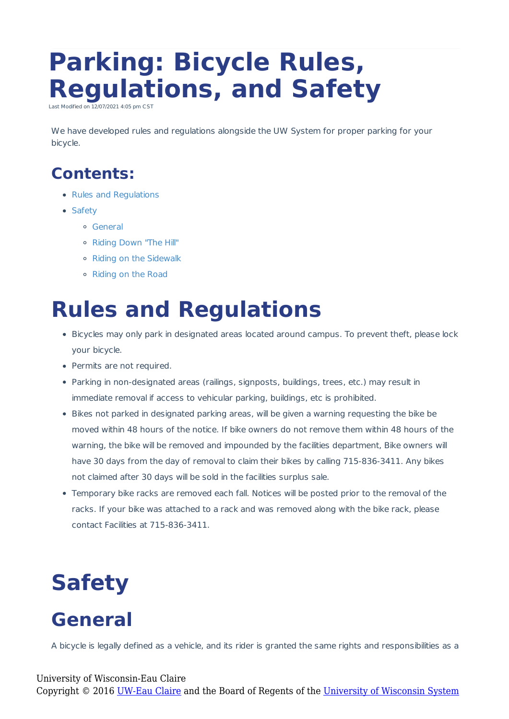# **Parking: Bicycle Rules, Regulations, and Safety**

Last Modified on  $\overline{12/07/2021}$  4:05 pm

We have developed rules and regulations alongside the UW System for proper parking for your bicycle.

### **Contents:**

- Rules and Regulations
- Safety
	- General
	- Riding Down "The Hill"
	- Riding on the Sidewalk
	- Riding on the Road

## **Rules and Regulations**

- Bicycles may only park in designated areas located around campus. To prevent theft, please lock your bicycle.
- Permits are not required.
- Parking in non-designated areas (railings, signposts, buildings, trees, etc.) may result in immediate removal if access to vehicular parking, buildings, etc is prohibited.
- Bikes not parked in designated parking areas, will be given a warning requesting the bike be moved within 48 hours of the notice. If bike owners do not remove them within 48 hours of the warning, the bike will be removed and impounded by the facilities department, Bike owners will have 30 days from the day of removal to claim their bikes by calling 715-836-3411. Any bikes not claimed after 30 days will be sold in the facilities surplus sale.
- Temporary bike racks are removed each fall. Notices will be posted prior to the removal of the racks. If your bike was attached to a rack and was removed along with the bike rack, please contact Facilities at 715-836-3411.

# **Safety**

### **General**

A bicycle is legally defined as a vehicle, and its rider is granted the same rights and responsibilities as a

#### University of Wisconsin-Eau Claire

Copyright © 2016 [UW-Eau Claire](http://www.uwec.edu) and the Board of Regents of the [University of Wisconsin System](http://www.uwsa.edu/)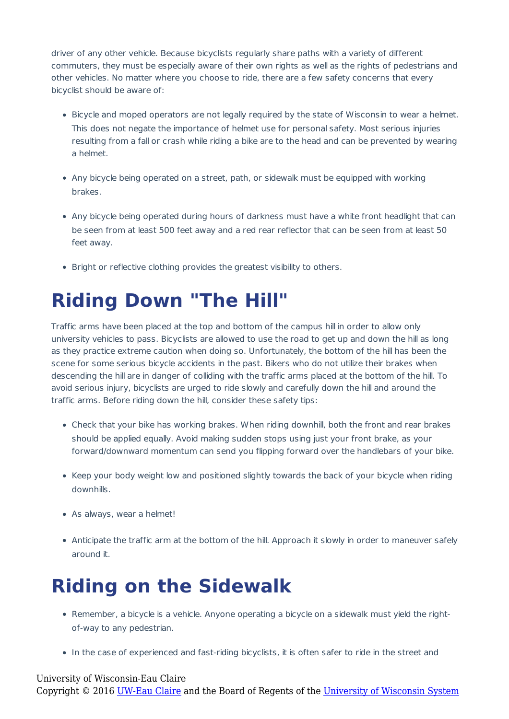driver of any other vehicle. Because bicyclists regularly share paths with a variety of different commuters, they must be especially aware of their own rights as well as the rights of pedestrians and other vehicles. No matter where you choose to ride, there are a few safety concerns that every bicyclist should be aware of:

- Bicycle and moped operators are not legally required by the state of Wisconsin to wear a helmet. This does not negate the importance of helmet use for personal safety. Most serious injuries resulting from a fall or crash while riding a bike are to the head and can be prevented by wearing a helmet.
- Any bicycle being operated on a street, path, or sidewalk must be equipped with working brakes.
- Any bicycle being operated during hours of darkness must have a white front headlight that can be seen from at least 500 feet away and a red rear reflector that can be seen from at least 50 feet away.
- Bright or reflective clothing provides the greatest visibility to others.

## **Riding Down "The Hill"**

Traffic arms have been placed at the top and bottom of the campus hill in order to allow only university vehicles to pass. Bicyclists are allowed to use the road to get up and down the hill as long as they practice extreme caution when doing so. Unfortunately, the bottom of the hill has been the scene for some serious bicycle accidents in the past. Bikers who do not utilize their brakes when descending the hill are in danger of colliding with the traffic arms placed at the bottom of the hill. To avoid serious injury, bicyclists are urged to ride slowly and carefully down the hill and around the traffic arms. Before riding down the hill, consider these safety tips:

- Check that your bike has working brakes. When riding downhill, both the front and rear brakes should be applied equally. Avoid making sudden stops using just your front brake, as your forward/downward momentum can send you flipping forward over the handlebars of your bike.
- Keep your body weight low and positioned slightly towards the back of your bicycle when riding downhills.
- As always, wear a helmet!
- Anticipate the traffic arm at the bottom of the hill. Approach it slowly in order to maneuver safely around it.

### **Riding on the Sidewalk**

- Remember, a bicycle is a vehicle. Anyone operating a bicycle on a sidewalk must yield the rightof-way to any pedestrian.
- In the case of experienced and fast-riding bicyclists, it is often safer to ride in the street and

#### University of Wisconsin-Eau Claire Copyright © 2016 [UW-Eau Claire](http://www.uwec.edu) and the Board of Regents of the [University of Wisconsin System](http://www.uwsa.edu/)